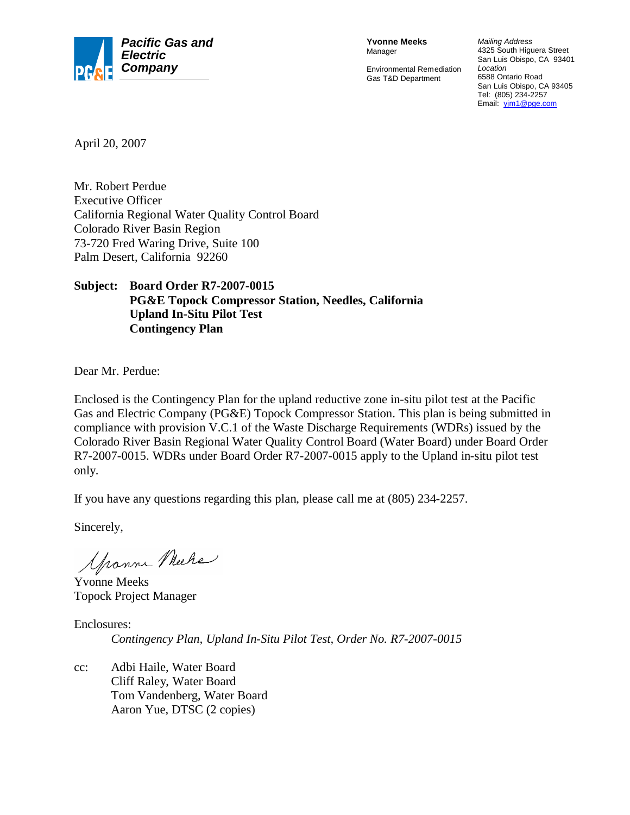

**Yvonne Meeks** Manager

Environmental Remediation Gas T&D Department

*Mailing Address* 4325 South Higuera Street San Luis Obispo, CA 93401 *Location* 6588 Ontario Road San Luis Obispo, CA 93405 Tel: (805) 234-2257 Email: yjm1@pge.com

April 20, 2007

Mr. Robert Perdue Executive Officer California Regional Water Quality Control Board Colorado River Basin Region 73-720 Fred Waring Drive, Suite 100 Palm Desert, California 92260

### **Subject: Board Order R7-2007-0015 PG&E Topock Compressor Station, Needles, California Upland In-Situ Pilot Test Contingency Plan**

Dear Mr. Perdue:

Enclosed is the Contingency Plan for the upland reductive zone in-situ pilot test at the Pacific Gas and Electric Company (PG&E) Topock Compressor Station. This plan is being submitted in compliance with provision V.C.1 of the Waste Discharge Requirements (WDRs) issued by the Colorado River Basin Regional Water Quality Control Board (Water Board) under Board Order R7-2007-0015. WDRs under Board Order R7-2007-0015 apply to the Upland in-situ pilot test only.

If you have any questions regarding this plan, please call me at (805) 234-2257.

Sincerely,

Grann Muche

Yvonne Meeks Topock Project Manager

Enclosures:

*Contingency Plan, Upland In-Situ Pilot Test, Order No. R7-2007-0015*

cc: Adbi Haile, Water Board Cliff Raley, Water Board Tom Vandenberg, Water Board Aaron Yue, DTSC (2 copies)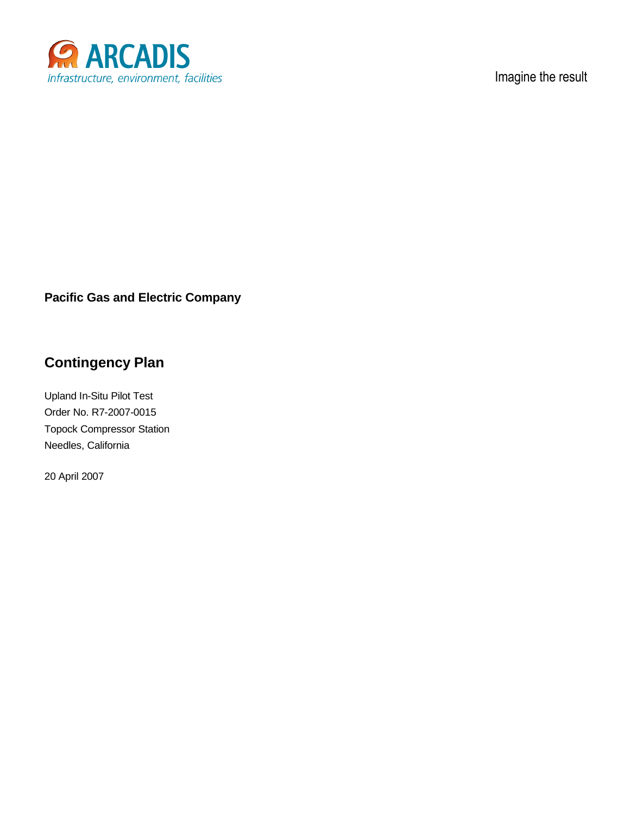

Imagine the result

### **Pacific Gas and Electric Company**

## **Contingency Plan**

Upland In-Situ Pilot Test Order No. R7-2007-0015 Topock Compressor Station Needles, California

20 April 2007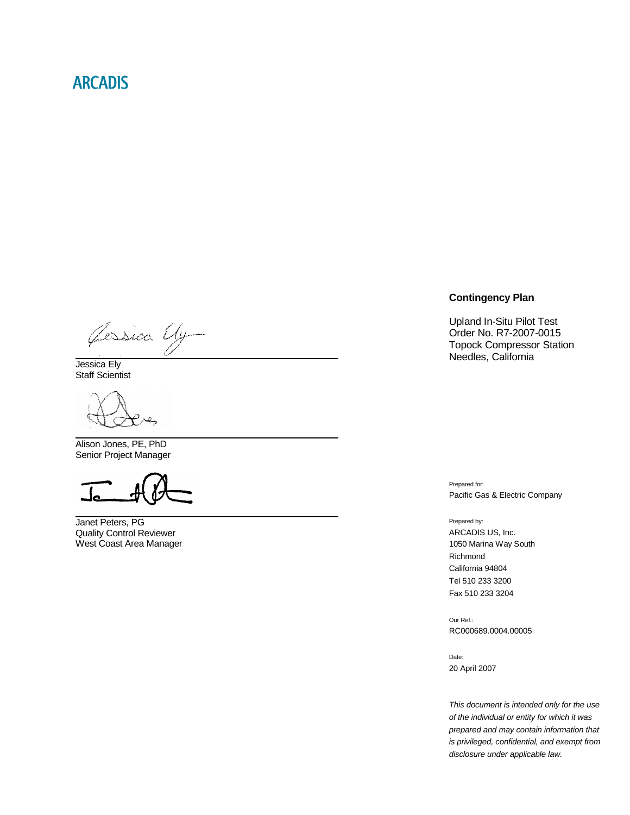## **ARCADIS**

Jessica Uy

Jessica Ely Staff Scientist

Alison Jones, PE, PhD Senior Project Manager

Janet Peters, PG Quality Control Reviewer West Coast Area Manager

#### **Contingency Plan**

Upland In-Situ Pilot Test Order No. R7-2007-0015 Topock Compressor Station Needles, California

Prepared for: Pacific Gas & Electric Company

Prepared by: ARCADIS US, Inc. 1050 Marina Way South Richmond California 94804 Tel 510 233 3200 Fax 510 233 3204

Our Ref.: RC000689.0004.00005

Date: 20 April 2007

*This document is intended only for the use of the individual or entity for which it was prepared and may contain information that is privileged, confidential, and exempt from disclosure under applicable law.*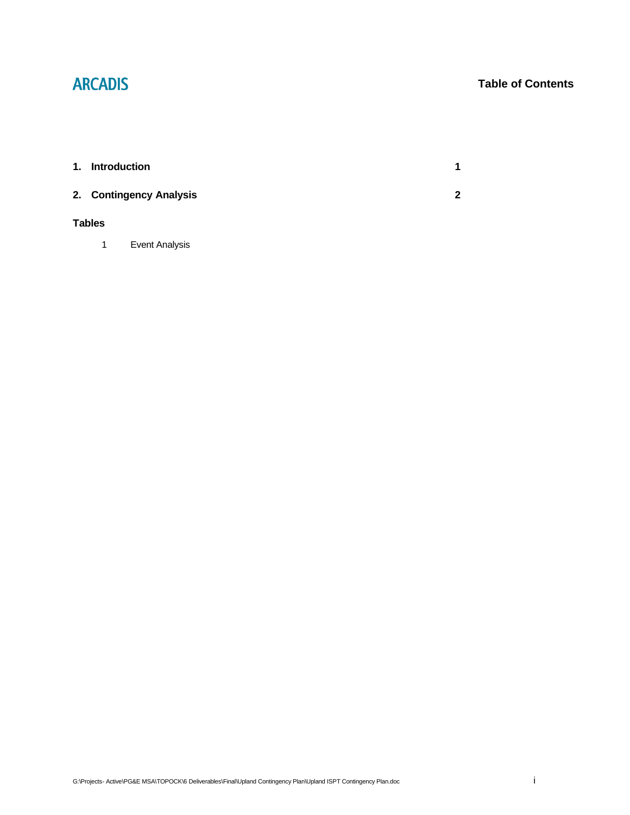# **ARCADIS**

### **Table of Contents**

| 1. |               | <b>Introduction</b>     | 1 |
|----|---------------|-------------------------|---|
|    |               | 2. Contingency Analysis | 2 |
|    | <b>Tables</b> |                         |   |
|    | 1             | Event Analysis          |   |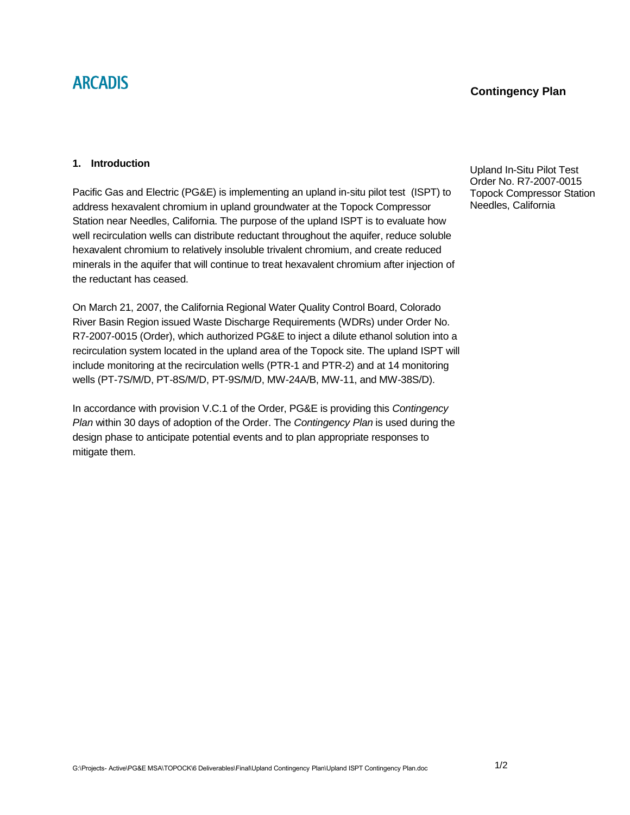## **ARCADIS**

### **Contingency Plan**

#### **1. Introduction**

Pacific Gas and Electric (PG&E) is implementing an upland in-situ pilot test (ISPT) to address hexavalent chromium in upland groundwater at the Topock Compressor Station near Needles, California. The purpose of the upland ISPT is to evaluate how well recirculation wells can distribute reductant throughout the aquifer, reduce soluble hexavalent chromium to relatively insoluble trivalent chromium, and create reduced minerals in the aquifer that will continue to treat hexavalent chromium after injection of the reductant has ceased.

On March 21, 2007, the California Regional Water Quality Control Board, Colorado River Basin Region issued Waste Discharge Requirements (WDRs) under Order No. R7-2007-0015 (Order), which authorized PG&E to inject a dilute ethanol solution into a recirculation system located in the upland area of the Topock site. The upland ISPT will include monitoring at the recirculation wells (PTR-1 and PTR-2) and at 14 monitoring wells (PT-7S/M/D, PT-8S/M/D, PT-9S/M/D, MW-24A/B, MW-11, and MW-38S/D).

In accordance with provision V.C.1 of the Order, PG&E is providing this *Contingency Plan* within 30 days of adoption of the Order. The *Contingency Plan* is used during the design phase to anticipate potential events and to plan appropriate responses to mitigate them.

Upland In-Situ Pilot Test Order No. R7-2007-0015 Topock Compressor Station Needles, California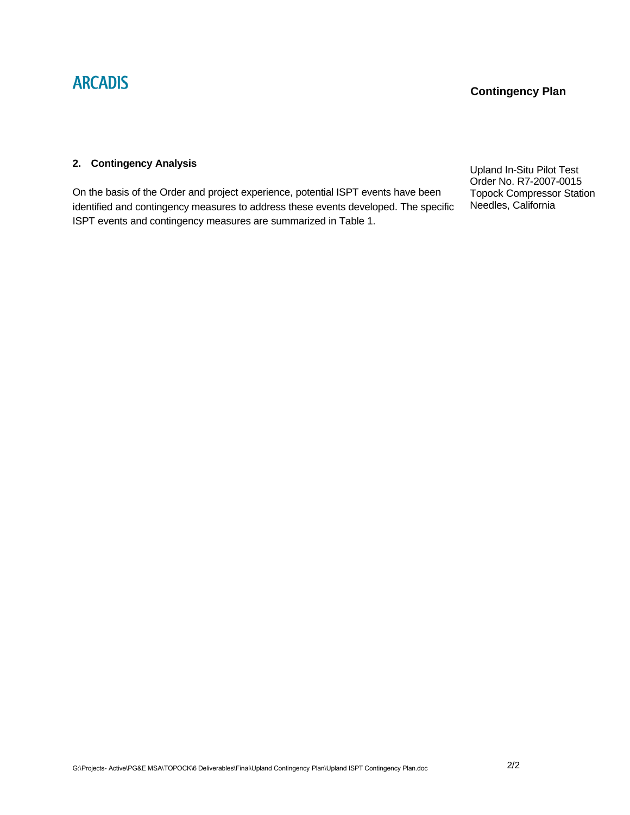#### **2. Contingency Analysis**

On the basis of the Order and project experience, potential ISPT events have been identified and contingency measures to address these events developed. The specific ISPT events and contingency measures are summarized in Table 1.

Upland In-Situ Pilot Test Order No. R7-2007-0015 Topock Compressor Station Needles, California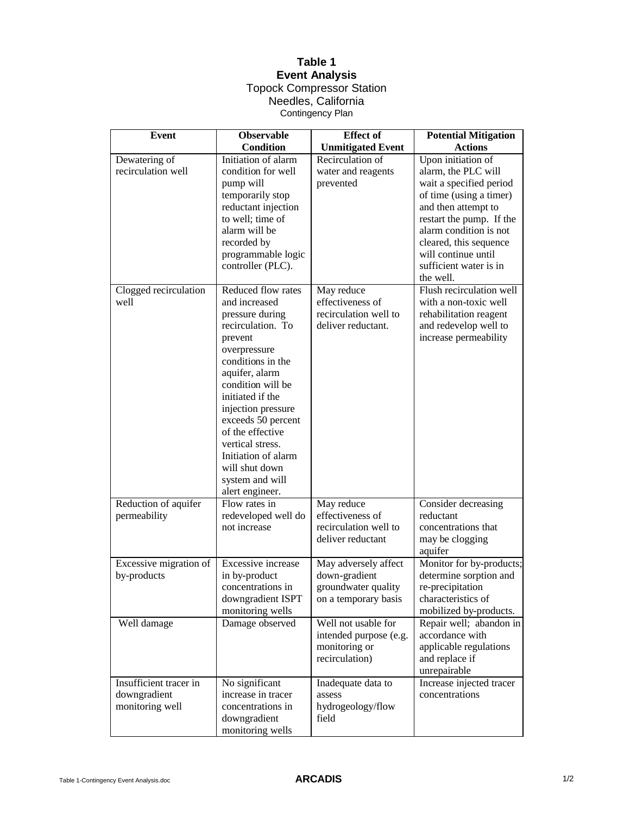### **Table 1 Event Analysis**

#### Topock Compressor Station Needles, California Contingency Plan

| <b>Event</b>           | <b>Observable</b>   | <b>Effect</b> of         | <b>Potential Mitigation</b> |
|------------------------|---------------------|--------------------------|-----------------------------|
|                        | <b>Condition</b>    | <b>Unmitigated Event</b> | <b>Actions</b>              |
| Dewatering of          | Initiation of alarm | Recirculation of         | Upon initiation of          |
| recirculation well     | condition for well  | water and reagents       | alarm, the PLC will         |
|                        | pump will           | prevented                | wait a specified period     |
|                        | temporarily stop    |                          | of time (using a timer)     |
|                        | reductant injection |                          | and then attempt to         |
|                        | to well; time of    |                          | restart the pump. If the    |
|                        | alarm will be       |                          | alarm condition is not      |
|                        | recorded by         |                          | cleared, this sequence      |
|                        | programmable logic  |                          | will continue until         |
|                        | controller (PLC).   |                          | sufficient water is in      |
|                        |                     |                          | the well.                   |
| Clogged recirculation  | Reduced flow rates  | May reduce               | Flush recirculation well    |
| well                   | and increased       | effectiveness of         | with a non-toxic well       |
|                        | pressure during     | recirculation well to    | rehabilitation reagent      |
|                        | recirculation. To   | deliver reductant.       | and redevelop well to       |
|                        | prevent             |                          | increase permeability       |
|                        | overpressure        |                          |                             |
|                        | conditions in the   |                          |                             |
|                        | aquifer, alarm      |                          |                             |
|                        | condition will be   |                          |                             |
|                        | initiated if the    |                          |                             |
|                        | injection pressure  |                          |                             |
|                        | exceeds 50 percent  |                          |                             |
|                        | of the effective    |                          |                             |
|                        | vertical stress.    |                          |                             |
|                        | Initiation of alarm |                          |                             |
|                        | will shut down      |                          |                             |
|                        | system and will     |                          |                             |
|                        | alert engineer.     |                          |                             |
| Reduction of aquifer   | Flow rates in       | May reduce               | Consider decreasing         |
| permeability           | redeveloped well do | effectiveness of         | reductant                   |
|                        | not increase        | recirculation well to    | concentrations that         |
|                        |                     | deliver reductant        | may be clogging             |
|                        |                     |                          | aquifer                     |
| Excessive migration of | Excessive increase  | May adversely affect     | Monitor for by-products;    |
| by-products            | in by-product       | down-gradient            | determine sorption and      |
|                        | concentrations in   | groundwater quality      | re-precipitation            |
|                        | downgradient ISPT   | on a temporary basis     | characteristics of          |
|                        | monitoring wells    |                          | mobilized by-products.      |
| Well damage            | Damage observed     | Well not usable for      | Repair well; abandon in     |
|                        |                     | intended purpose (e.g.   | accordance with             |
|                        |                     | monitoring or            | applicable regulations      |
|                        |                     | recirculation)           | and replace if              |
|                        |                     |                          | unrepairable                |
| Insufficient tracer in | No significant      | Inadequate data to       | Increase injected tracer    |
| downgradient           | increase in tracer  | assess                   | concentrations              |
| monitoring well        | concentrations in   | hydrogeology/flow        |                             |
|                        | downgradient        | field                    |                             |
|                        | monitoring wells    |                          |                             |